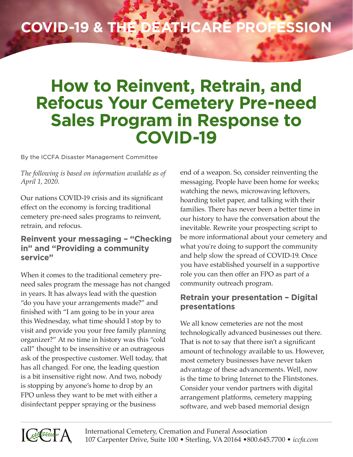# **COVID-19 & THE DEATHCARE PROFESSION**

# **How to Reinvent, Retrain, and Refocus Your Cemetery Pre-need Sales Program in Response to COVID-19**

By the ICCFA Disaster Management Committee

*The following is based on information available as of April 1, 2020.*

Our nations COVID-19 crisis and its significant effect on the economy is forcing traditional cemetery pre-need sales programs to reinvent, retrain, and refocus.

#### **Reinvent your messaging – "Checking in" and "Providing a community service"**

When it comes to the traditional cemetery preneed sales program the message has not changed in years. It has always lead with the question "do you have your arrangements made?" and finished with "I am going to be in your area this Wednesday, what time should I stop by to visit and provide you your free family planning organizer?" At no time in history was this "cold call" thought to be insensitive or an outrageous ask of the prospective customer. Well today, that has all changed. For one, the leading question is a bit insensitive right now. And two, nobody is stopping by anyone's home to drop by an FPO unless they want to be met with either a disinfectant pepper spraying or the business

end of a weapon. So, consider reinventing the messaging. People have been home for weeks; watching the news, microwaving leftovers, hoarding toilet paper, and talking with their families. There has never been a better time in our history to have the conversation about the inevitable. Rewrite your prospecting script to be more informational about your cemetery and what you're doing to support the community and help slow the spread of COVID-19. Once you have established yourself in a supportive role you can then offer an FPO as part of a community outreach program.

### **retrain your presentation – Digital presentations**

We all know cemeteries are not the most technologically advanced businesses out there. That is not to say that there isn't a significant amount of technology available to us. However, most cemetery businesses have never taken advantage of these advancements. Well, now is the time to bring Internet to the Flintstones. Consider your vendor partners with digital arrangement platforms, cemetery mapping software, and web based memorial design